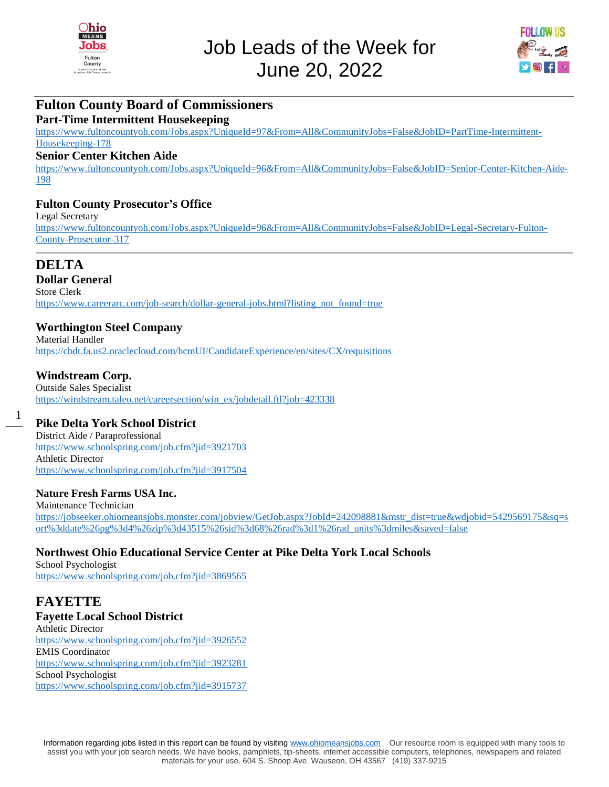



## **Fulton County Board of Commissioners**

#### **Part-Time Intermittent Housekeeping**

[https://www.fultoncountyoh.com/Jobs.aspx?UniqueId=97&From=All&CommunityJobs=False&JobID=PartTime-Intermittent-](https://www.fultoncountyoh.com/Jobs.aspx?UniqueId=97&From=All&CommunityJobs=False&JobID=PartTime-Intermittent-Housekeeping-178)[Housekeeping-178](https://www.fultoncountyoh.com/Jobs.aspx?UniqueId=97&From=All&CommunityJobs=False&JobID=PartTime-Intermittent-Housekeeping-178)

## **Senior Center Kitchen Aide**

[https://www.fultoncountyoh.com/Jobs.aspx?UniqueId=96&From=All&CommunityJobs=False&JobID=Senior-Center-Kitchen-Aide-](https://www.fultoncountyoh.com/Jobs.aspx?UniqueId=96&From=All&CommunityJobs=False&JobID=Senior-Center-Kitchen-Aide-198)[198](https://www.fultoncountyoh.com/Jobs.aspx?UniqueId=96&From=All&CommunityJobs=False&JobID=Senior-Center-Kitchen-Aide-198)

#### **Fulton County Prosecutor's Office**

Legal Secretary [https://www.fultoncountyoh.com/Jobs.aspx?UniqueId=96&From=All&CommunityJobs=False&JobID=Legal-Secretary-Fulton-](https://www.fultoncountyoh.com/Jobs.aspx?UniqueId=96&From=All&CommunityJobs=False&JobID=Legal-Secretary-Fulton-County-Prosecutor-317)[County-Prosecutor-317](https://www.fultoncountyoh.com/Jobs.aspx?UniqueId=96&From=All&CommunityJobs=False&JobID=Legal-Secretary-Fulton-County-Prosecutor-317)

## **DELTA**

1

#### **Dollar General**

Store Clerk [https://www.careerarc.com/job-search/dollar-general-jobs.html?listing\\_not\\_found=true](https://www.careerarc.com/job-search/dollar-general-jobs.html?listing_not_found=true)

#### **Worthington Steel Company**

Material Handler <https://cbdt.fa.us2.oraclecloud.com/hcmUI/CandidateExperience/en/sites/CX/requisitions>

#### **Windstream Corp.**

Outside Sales Specialist [https://windstream.taleo.net/careersection/win\\_ex/jobdetail.ftl?job=423338](https://windstream.taleo.net/careersection/win_ex/jobdetail.ftl?job=423338)

## **Pike Delta York School District**

District Aide / Paraprofessional <https://www.schoolspring.com/job.cfm?jid=3921703> Athletic Director <https://www.schoolspring.com/job.cfm?jid=3917504>

#### **Nature Fresh Farms USA Inc.**

Maintenance Technician [https://jobseeker.ohiomeansjobs.monster.com/jobview/GetJob.aspx?JobId=242098881&mstr\\_dist=true&wdjobid=5429569175&sq=s](https://jobseeker.ohiomeansjobs.monster.com/jobview/GetJob.aspx?JobId=242098881&mstr_dist=true&wdjobid=5429569175&sq=sort%3ddate%26pg%3d4%26zip%3d43515%26sid%3d68%26rad%3d1%26rad_units%3dmiles&saved=false) [ort%3ddate%26pg%3d4%26zip%3d43515%26sid%3d68%26rad%3d1%26rad\\_units%3dmiles&saved=false](https://jobseeker.ohiomeansjobs.monster.com/jobview/GetJob.aspx?JobId=242098881&mstr_dist=true&wdjobid=5429569175&sq=sort%3ddate%26pg%3d4%26zip%3d43515%26sid%3d68%26rad%3d1%26rad_units%3dmiles&saved=false)

#### **Northwest Ohio Educational Service Center at Pike Delta York Local Schools**

School Psychologist <https://www.schoolspring.com/job.cfm?jid=3869565>

# **FAYETTE**

**Fayette Local School District** Athletic Director <https://www.schoolspring.com/job.cfm?jid=3926552> EMIS Coordinator <https://www.schoolspring.com/job.cfm?jid=3923281> School Psychologist

<https://www.schoolspring.com/job.cfm?jid=3915737>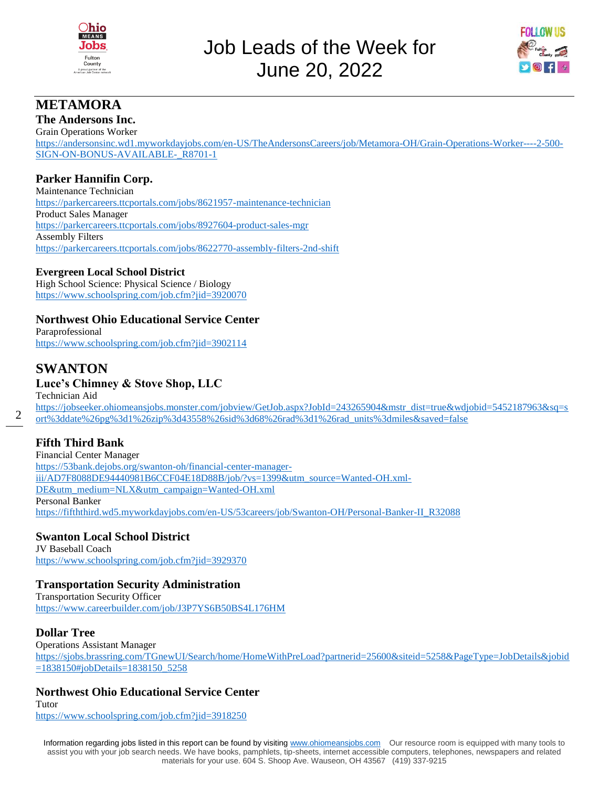



## **METAMORA**

## **The Andersons Inc.**

Grain Operations Worker [https://andersonsinc.wd1.myworkdayjobs.com/en-US/TheAndersonsCareers/job/Metamora-OH/Grain-Operations-Worker----2-500-](https://andersonsinc.wd1.myworkdayjobs.com/en-US/TheAndersonsCareers/job/Metamora-OH/Grain-Operations-Worker----2-500-SIGN-ON-BONUS-AVAILABLE-_R8701-1) [SIGN-ON-BONUS-AVAILABLE-\\_R8701-1](https://andersonsinc.wd1.myworkdayjobs.com/en-US/TheAndersonsCareers/job/Metamora-OH/Grain-Operations-Worker----2-500-SIGN-ON-BONUS-AVAILABLE-_R8701-1)

## **Parker Hannifin Corp.**

Maintenance Technician <https://parkercareers.ttcportals.com/jobs/8621957-maintenance-technician> Product Sales Manager <https://parkercareers.ttcportals.com/jobs/8927604-product-sales-mgr> Assembly Filters <https://parkercareers.ttcportals.com/jobs/8622770-assembly-filters-2nd-shift>

#### **Evergreen Local School District**

High School Science: Physical Science / Biology <https://www.schoolspring.com/job.cfm?jid=3920070>

## **Northwest Ohio Educational Service Center**

Paraprofessional <https://www.schoolspring.com/job.cfm?jid=3902114>

## **SWANTON**

 $\mathfrak{D}$ 

## **Luce's Chimney & Stove Shop, LLC**

Technician Aid [https://jobseeker.ohiomeansjobs.monster.com/jobview/GetJob.aspx?JobId=243265904&mstr\\_dist=true&wdjobid=5452187963&sq=s](https://jobseeker.ohiomeansjobs.monster.com/jobview/GetJob.aspx?JobId=243265904&mstr_dist=true&wdjobid=5452187963&sq=sort%3ddate%26pg%3d1%26zip%3d43558%26sid%3d68%26rad%3d1%26rad_units%3dmiles&saved=false) [ort%3ddate%26pg%3d1%26zip%3d43558%26sid%3d68%26rad%3d1%26rad\\_units%3dmiles&saved=false](https://jobseeker.ohiomeansjobs.monster.com/jobview/GetJob.aspx?JobId=243265904&mstr_dist=true&wdjobid=5452187963&sq=sort%3ddate%26pg%3d1%26zip%3d43558%26sid%3d68%26rad%3d1%26rad_units%3dmiles&saved=false)

## **Fifth Third Bank**

Financial Center Manager [https://53bank.dejobs.org/swanton-oh/financial-center-manager](https://53bank.dejobs.org/swanton-oh/financial-center-manager-iii/AD7F8088DE94440981B6CCF04E18D88B/job/?vs=1399&utm_source=Wanted-OH.xml-DE&utm_medium=NLX&utm_campaign=Wanted-OH.xml)[iii/AD7F8088DE94440981B6CCF04E18D88B/job/?vs=1399&utm\\_source=Wanted-OH.xml-](https://53bank.dejobs.org/swanton-oh/financial-center-manager-iii/AD7F8088DE94440981B6CCF04E18D88B/job/?vs=1399&utm_source=Wanted-OH.xml-DE&utm_medium=NLX&utm_campaign=Wanted-OH.xml)[DE&utm\\_medium=NLX&utm\\_campaign=Wanted-OH.xml](https://53bank.dejobs.org/swanton-oh/financial-center-manager-iii/AD7F8088DE94440981B6CCF04E18D88B/job/?vs=1399&utm_source=Wanted-OH.xml-DE&utm_medium=NLX&utm_campaign=Wanted-OH.xml) Personal Banker [https://fifththird.wd5.myworkdayjobs.com/en-US/53careers/job/Swanton-OH/Personal-Banker-II\\_R32088](https://fifththird.wd5.myworkdayjobs.com/en-US/53careers/job/Swanton-OH/Personal-Banker-II_R32088)

## **Swanton Local School District**

JV Baseball Coach <https://www.schoolspring.com/job.cfm?jid=3929370>

## **Transportation Security Administration**

Transportation Security Officer <https://www.careerbuilder.com/job/J3P7YS6B50BS4L176HM>

## **Dollar Tree**

Operations Assistant Manager [https://sjobs.brassring.com/TGnewUI/Search/home/HomeWithPreLoad?partnerid=25600&siteid=5258&PageType=JobDetails&jobid](https://sjobs.brassring.com/TGnewUI/Search/home/HomeWithPreLoad?partnerid=25600&siteid=5258&PageType=JobDetails&jobid=1838150#jobDetails=1838150_5258) [=1838150#jobDetails=1838150\\_5258](https://sjobs.brassring.com/TGnewUI/Search/home/HomeWithPreLoad?partnerid=25600&siteid=5258&PageType=JobDetails&jobid=1838150#jobDetails=1838150_5258)

## **Northwest Ohio Educational Service Center**

Tutor <https://www.schoolspring.com/job.cfm?jid=3918250>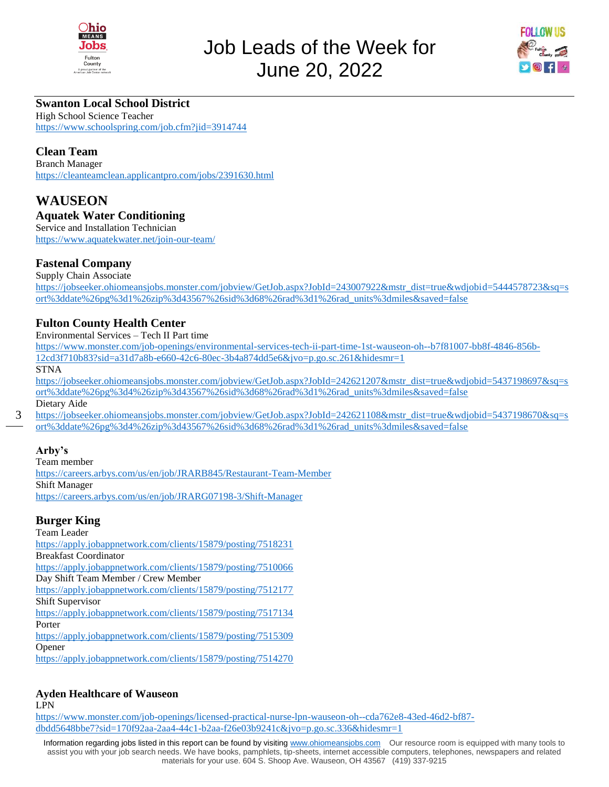



## **Swanton Local School District**

High School Science Teacher <https://www.schoolspring.com/job.cfm?jid=3914744>

## **Clean Team**

Branch Manager <https://cleanteamclean.applicantpro.com/jobs/2391630.html>

## **WAUSEON Aquatek Water Conditioning**

Service and Installation Technician <https://www.aquatekwater.net/join-our-team/>

## **Fastenal Company**

Supply Chain Associate

[https://jobseeker.ohiomeansjobs.monster.com/jobview/GetJob.aspx?JobId=243007922&mstr\\_dist=true&wdjobid=5444578723&sq=s](https://jobseeker.ohiomeansjobs.monster.com/jobview/GetJob.aspx?JobId=243007922&mstr_dist=true&wdjobid=5444578723&sq=sort%3ddate%26pg%3d1%26zip%3d43567%26sid%3d68%26rad%3d1%26rad_units%3dmiles&saved=false) [ort%3ddate%26pg%3d1%26zip%3d43567%26sid%3d68%26rad%3d1%26rad\\_units%3dmiles&saved=false](https://jobseeker.ohiomeansjobs.monster.com/jobview/GetJob.aspx?JobId=243007922&mstr_dist=true&wdjobid=5444578723&sq=sort%3ddate%26pg%3d1%26zip%3d43567%26sid%3d68%26rad%3d1%26rad_units%3dmiles&saved=false)

## **Fulton County Health Center**

Environmental Services – Tech II Part time

[https://www.monster.com/job-openings/environmental-services-tech-ii-part-time-1st-wauseon-oh--b7f81007-bb8f-4846-856b-](https://www.monster.com/job-openings/environmental-services-tech-ii-part-time-1st-wauseon-oh--b7f81007-bb8f-4846-856b-12cd3f710b83?sid=a31d7a8b-e660-42c6-80ec-3b4a874dd5e6&jvo=p.go.sc.261&hidesmr=1)[12cd3f710b83?sid=a31d7a8b-e660-42c6-80ec-3b4a874dd5e6&jvo=p.go.sc.261&hidesmr=1](https://www.monster.com/job-openings/environmental-services-tech-ii-part-time-1st-wauseon-oh--b7f81007-bb8f-4846-856b-12cd3f710b83?sid=a31d7a8b-e660-42c6-80ec-3b4a874dd5e6&jvo=p.go.sc.261&hidesmr=1)

STNA

[https://jobseeker.ohiomeansjobs.monster.com/jobview/GetJob.aspx?JobId=242621207&mstr\\_dist=true&wdjobid=5437198697&sq=s](https://jobseeker.ohiomeansjobs.monster.com/jobview/GetJob.aspx?JobId=242621207&mstr_dist=true&wdjobid=5437198697&sq=sort%3ddate%26pg%3d4%26zip%3d43567%26sid%3d68%26rad%3d1%26rad_units%3dmiles&saved=false) [ort%3ddate%26pg%3d4%26zip%3d43567%26sid%3d68%26rad%3d1%26rad\\_units%3dmiles&saved=false](https://jobseeker.ohiomeansjobs.monster.com/jobview/GetJob.aspx?JobId=242621207&mstr_dist=true&wdjobid=5437198697&sq=sort%3ddate%26pg%3d4%26zip%3d43567%26sid%3d68%26rad%3d1%26rad_units%3dmiles&saved=false) Dietary Aide

3

[https://jobseeker.ohiomeansjobs.monster.com/jobview/GetJob.aspx?JobId=242621108&mstr\\_dist=true&wdjobid=5437198670&sq=s](https://jobseeker.ohiomeansjobs.monster.com/jobview/GetJob.aspx?JobId=242621108&mstr_dist=true&wdjobid=5437198670&sq=sort%3ddate%26pg%3d4%26zip%3d43567%26sid%3d68%26rad%3d1%26rad_units%3dmiles&saved=false) [ort%3ddate%26pg%3d4%26zip%3d43567%26sid%3d68%26rad%3d1%26rad\\_units%3dmiles&saved=false](https://jobseeker.ohiomeansjobs.monster.com/jobview/GetJob.aspx?JobId=242621108&mstr_dist=true&wdjobid=5437198670&sq=sort%3ddate%26pg%3d4%26zip%3d43567%26sid%3d68%26rad%3d1%26rad_units%3dmiles&saved=false)

## **Arby's**

Team member <https://careers.arbys.com/us/en/job/JRARB845/Restaurant-Team-Member> Shift Manager <https://careers.arbys.com/us/en/job/JRARG07198-3/Shift-Manager>

## **Burger King**

Team Leader <https://apply.jobappnetwork.com/clients/15879/posting/7518231> Breakfast Coordinator <https://apply.jobappnetwork.com/clients/15879/posting/7510066> Day Shift Team Member / Crew Member <https://apply.jobappnetwork.com/clients/15879/posting/7512177> Shift Supervisor <https://apply.jobappnetwork.com/clients/15879/posting/7517134> Porter <https://apply.jobappnetwork.com/clients/15879/posting/7515309> Opener <https://apply.jobappnetwork.com/clients/15879/posting/7514270>

## **Ayden Healthcare of Wauseon**

LPN

[https://www.monster.com/job-openings/licensed-practical-nurse-lpn-wauseon-oh--cda762e8-43ed-46d2-bf87](https://www.monster.com/job-openings/licensed-practical-nurse-lpn-wauseon-oh--cda762e8-43ed-46d2-bf87-dbdd5648bbe7?sid=170f92aa-2aa4-44c1-b2aa-f26e03b9241c&jvo=p.go.sc.336&hidesmr=1) [dbdd5648bbe7?sid=170f92aa-2aa4-44c1-b2aa-f26e03b9241c&jvo=p.go.sc.336&hidesmr=1](https://www.monster.com/job-openings/licensed-practical-nurse-lpn-wauseon-oh--cda762e8-43ed-46d2-bf87-dbdd5648bbe7?sid=170f92aa-2aa4-44c1-b2aa-f26e03b9241c&jvo=p.go.sc.336&hidesmr=1)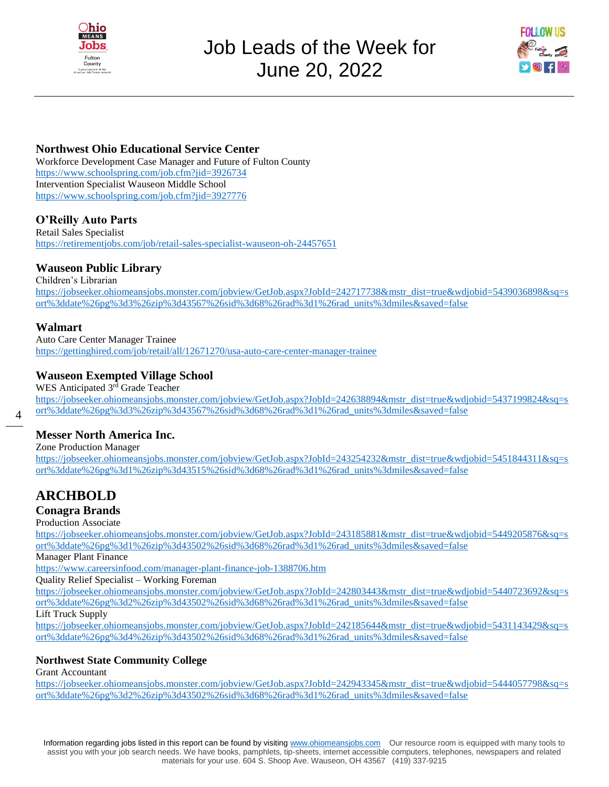



## **Northwest Ohio Educational Service Center**

Workforce Development Case Manager and Future of Fulton County <https://www.schoolspring.com/job.cfm?jid=3926734> Intervention Specialist Wauseon Middle School <https://www.schoolspring.com/job.cfm?jid=3927776>

## **O'Reilly Auto Parts**

Retail Sales Specialist <https://retirementjobs.com/job/retail-sales-specialist-wauseon-oh-24457651>

## **Wauseon Public Library**

Children's Librarian [https://jobseeker.ohiomeansjobs.monster.com/jobview/GetJob.aspx?JobId=242717738&mstr\\_dist=true&wdjobid=5439036898&sq=s](https://jobseeker.ohiomeansjobs.monster.com/jobview/GetJob.aspx?JobId=242717738&mstr_dist=true&wdjobid=5439036898&sq=sort%3ddate%26pg%3d3%26zip%3d43567%26sid%3d68%26rad%3d1%26rad_units%3dmiles&saved=false) [ort%3ddate%26pg%3d3%26zip%3d43567%26sid%3d68%26rad%3d1%26rad\\_units%3dmiles&saved=false](https://jobseeker.ohiomeansjobs.monster.com/jobview/GetJob.aspx?JobId=242717738&mstr_dist=true&wdjobid=5439036898&sq=sort%3ddate%26pg%3d3%26zip%3d43567%26sid%3d68%26rad%3d1%26rad_units%3dmiles&saved=false)

#### **Walmart**

4

Auto Care Center Manager Trainee <https://gettinghired.com/job/retail/all/12671270/usa-auto-care-center-manager-trainee>

#### **Wauseon Exempted Village School**

WES Anticipated 3<sup>rd</sup> Grade Teacher [https://jobseeker.ohiomeansjobs.monster.com/jobview/GetJob.aspx?JobId=242638894&mstr\\_dist=true&wdjobid=5437199824&sq=s](https://jobseeker.ohiomeansjobs.monster.com/jobview/GetJob.aspx?JobId=242638894&mstr_dist=true&wdjobid=5437199824&sq=sort%3ddate%26pg%3d3%26zip%3d43567%26sid%3d68%26rad%3d1%26rad_units%3dmiles&saved=false) [ort%3ddate%26pg%3d3%26zip%3d43567%26sid%3d68%26rad%3d1%26rad\\_units%3dmiles&saved=false](https://jobseeker.ohiomeansjobs.monster.com/jobview/GetJob.aspx?JobId=242638894&mstr_dist=true&wdjobid=5437199824&sq=sort%3ddate%26pg%3d3%26zip%3d43567%26sid%3d68%26rad%3d1%26rad_units%3dmiles&saved=false)

**Messer North America Inc.** 

Zone Production Manager

[https://jobseeker.ohiomeansjobs.monster.com/jobview/GetJob.aspx?JobId=243254232&mstr\\_dist=true&wdjobid=5451844311&sq=s](https://jobseeker.ohiomeansjobs.monster.com/jobview/GetJob.aspx?JobId=243254232&mstr_dist=true&wdjobid=5451844311&sq=sort%3ddate%26pg%3d1%26zip%3d43515%26sid%3d68%26rad%3d1%26rad_units%3dmiles&saved=false) [ort%3ddate%26pg%3d1%26zip%3d43515%26sid%3d68%26rad%3d1%26rad\\_units%3dmiles&saved=false](https://jobseeker.ohiomeansjobs.monster.com/jobview/GetJob.aspx?JobId=243254232&mstr_dist=true&wdjobid=5451844311&sq=sort%3ddate%26pg%3d1%26zip%3d43515%26sid%3d68%26rad%3d1%26rad_units%3dmiles&saved=false)

# **ARCHBOLD**

## **Conagra Brands**

Production Associate

[https://jobseeker.ohiomeansjobs.monster.com/jobview/GetJob.aspx?JobId=243185881&mstr\\_dist=true&wdjobid=5449205876&sq=s](https://jobseeker.ohiomeansjobs.monster.com/jobview/GetJob.aspx?JobId=243185881&mstr_dist=true&wdjobid=5449205876&sq=sort%3ddate%26pg%3d1%26zip%3d43502%26sid%3d68%26rad%3d1%26rad_units%3dmiles&saved=false) [ort%3ddate%26pg%3d1%26zip%3d43502%26sid%3d68%26rad%3d1%26rad\\_units%3dmiles&saved=false](https://jobseeker.ohiomeansjobs.monster.com/jobview/GetJob.aspx?JobId=243185881&mstr_dist=true&wdjobid=5449205876&sq=sort%3ddate%26pg%3d1%26zip%3d43502%26sid%3d68%26rad%3d1%26rad_units%3dmiles&saved=false)

Manager Plant Finance

<https://www.careersinfood.com/manager-plant-finance-job-1388706.htm>

Quality Relief Specialist – Working Foreman

[https://jobseeker.ohiomeansjobs.monster.com/jobview/GetJob.aspx?JobId=242803443&mstr\\_dist=true&wdjobid=5440723692&sq=s](https://jobseeker.ohiomeansjobs.monster.com/jobview/GetJob.aspx?JobId=242803443&mstr_dist=true&wdjobid=5440723692&sq=sort%3ddate%26pg%3d2%26zip%3d43502%26sid%3d68%26rad%3d1%26rad_units%3dmiles&saved=false) [ort%3ddate%26pg%3d2%26zip%3d43502%26sid%3d68%26rad%3d1%26rad\\_units%3dmiles&saved=false](https://jobseeker.ohiomeansjobs.monster.com/jobview/GetJob.aspx?JobId=242803443&mstr_dist=true&wdjobid=5440723692&sq=sort%3ddate%26pg%3d2%26zip%3d43502%26sid%3d68%26rad%3d1%26rad_units%3dmiles&saved=false)

Lift Truck Supply

[https://jobseeker.ohiomeansjobs.monster.com/jobview/GetJob.aspx?JobId=242185644&mstr\\_dist=true&wdjobid=5431143429&sq=s](https://jobseeker.ohiomeansjobs.monster.com/jobview/GetJob.aspx?JobId=242185644&mstr_dist=true&wdjobid=5431143429&sq=sort%3ddate%26pg%3d4%26zip%3d43502%26sid%3d68%26rad%3d1%26rad_units%3dmiles&saved=false) [ort%3ddate%26pg%3d4%26zip%3d43502%26sid%3d68%26rad%3d1%26rad\\_units%3dmiles&saved=false](https://jobseeker.ohiomeansjobs.monster.com/jobview/GetJob.aspx?JobId=242185644&mstr_dist=true&wdjobid=5431143429&sq=sort%3ddate%26pg%3d4%26zip%3d43502%26sid%3d68%26rad%3d1%26rad_units%3dmiles&saved=false)

#### **Northwest State Community College**

Grant Accountant

[https://jobseeker.ohiomeansjobs.monster.com/jobview/GetJob.aspx?JobId=242943345&mstr\\_dist=true&wdjobid=5444057798&sq=s](https://jobseeker.ohiomeansjobs.monster.com/jobview/GetJob.aspx?JobId=242943345&mstr_dist=true&wdjobid=5444057798&sq=sort%3ddate%26pg%3d2%26zip%3d43502%26sid%3d68%26rad%3d1%26rad_units%3dmiles&saved=false) [ort%3ddate%26pg%3d2%26zip%3d43502%26sid%3d68%26rad%3d1%26rad\\_units%3dmiles&saved=false](https://jobseeker.ohiomeansjobs.monster.com/jobview/GetJob.aspx?JobId=242943345&mstr_dist=true&wdjobid=5444057798&sq=sort%3ddate%26pg%3d2%26zip%3d43502%26sid%3d68%26rad%3d1%26rad_units%3dmiles&saved=false)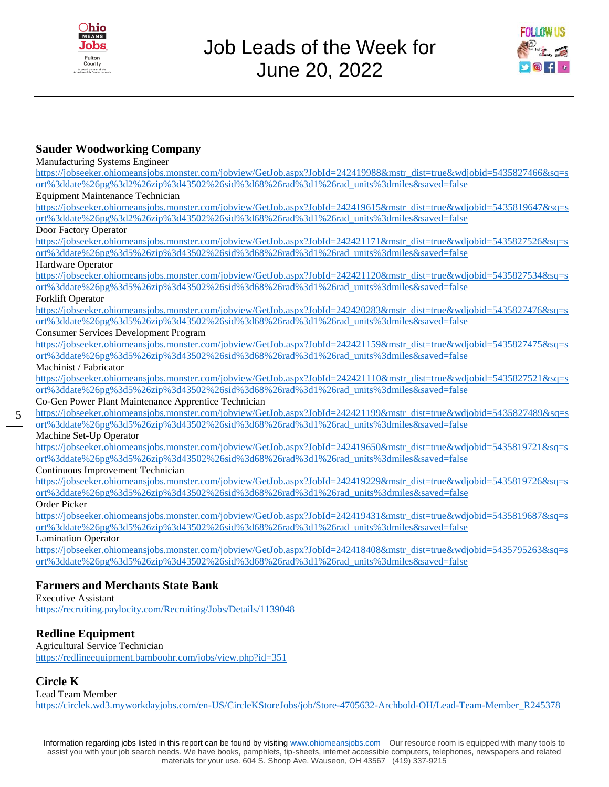



## **Sauder Woodworking Company**

Manufacturing Systems Engineer

| $m$ andraetaring $\beta$ y stems $m$ gineen                                                                            |
|------------------------------------------------------------------------------------------------------------------------|
| https://jobseeker.ohiomeansjobs.monster.com/jobview/GetJob.aspx?JobId=242419988&mstr_dist=true&wdjobid=5435827466&sq=s |
| ort%3ddate%26pg%3d2%26zip%3d43502%26sid%3d68%26rad%3d1%26rad_units%3dmiles&saved=false                                 |
| <b>Equipment Maintenance Technician</b>                                                                                |
| https://jobseeker.ohiomeansjobs.monster.com/jobview/GetJob.aspx?JobId=242419615&mstr_dist=true&wdjobid=5435819647&sq=s |
| ort%3ddate%26pg%3d2%26zip%3d43502%26sid%3d68%26rad%3d1%26rad_units%3dmiles&saved=false                                 |
| Door Factory Operator                                                                                                  |
| https://jobseeker.ohiomeansjobs.monster.com/jobview/GetJob.aspx?JobId=242421171&mstr_dist=true&wdjobid=5435827526&sq=s |
| ort%3ddate%26pg%3d5%26zip%3d43502%26sid%3d68%26rad%3d1%26rad_units%3dmiles&saved=false                                 |
| Hardware Operator                                                                                                      |
| https://jobseeker.ohiomeansjobs.monster.com/jobview/GetJob.aspx?JobId=242421120&mstr_dist=true&wdjobid=5435827534&sq=s |
| ort%3ddate%26pg%3d5%26zip%3d43502%26sid%3d68%26rad%3d1%26rad_units%3dmiles&saved=false                                 |
| Forklift Operator                                                                                                      |
| https://jobseeker.ohiomeansjobs.monster.com/jobview/GetJob.aspx?JobId=242420283&mstr_dist=true&wdjobid=5435827476&sq=s |
| ort%3ddate%26pg%3d5%26zip%3d43502%26sid%3d68%26rad%3d1%26rad_units%3dmiles&saved=false                                 |
| <b>Consumer Services Development Program</b>                                                                           |
| https://jobseeker.ohiomeansjobs.monster.com/jobview/GetJob.aspx?JobId=242421159&mstr_dist=true&wdjobid=5435827475&sq=s |
| ort%3ddate%26pg%3d5%26zip%3d43502%26sid%3d68%26rad%3d1%26rad_units%3dmiles&saved=false                                 |
| Machinist / Fabricator                                                                                                 |
| https://jobseeker.ohiomeansjobs.monster.com/jobview/GetJob.aspx?JobId=242421110&mstr_dist=true&wdjobid=5435827521&sq=s |
| ort%3ddate%26pg%3d5%26zip%3d43502%26sid%3d68%26rad%3d1%26rad_units%3dmiles&saved=false                                 |
| Co-Gen Power Plant Maintenance Apprentice Technician                                                                   |
| https://jobseeker.ohiomeansjobs.monster.com/jobview/GetJob.aspx?JobId=242421199&mstr_dist=true&wdjobid=5435827489&sq=s |
| ort%3ddate%26pg%3d5%26zip%3d43502%26sid%3d68%26rad%3d1%26rad_units%3dmiles&saved=false                                 |
| Machine Set-Up Operator                                                                                                |
| https://jobseeker.ohiomeansjobs.monster.com/jobview/GetJob.aspx?JobId=242419650&mstr_dist=true&wdjobid=5435819721&sq=s |
| ort%3ddate%26pg%3d5%26zip%3d43502%26sid%3d68%26rad%3d1%26rad_units%3dmiles&saved=false                                 |
| Continuous Improvement Technician                                                                                      |
| https://jobseeker.ohiomeansjobs.monster.com/jobview/GetJob.aspx?JobId=242419229&mstr_dist=true&wdjobid=5435819726&sq=s |
| ort%3ddate%26pg%3d5%26zip%3d43502%26sid%3d68%26rad%3d1%26rad_units%3dmiles&saved=false                                 |
| Order Picker                                                                                                           |
| https://jobseeker.ohiomeansjobs.monster.com/jobview/GetJob.aspx?JobId=242419431&mstr_dist=true&wdjobid=5435819687&sq=s |
| ort%3ddate%26pg%3d5%26zip%3d43502%26sid%3d68%26rad%3d1%26rad_units%3dmiles&saved=false                                 |
| <b>Lamination Operator</b>                                                                                             |
| https://jobseeker.ohiomeansjobs.monster.com/jobview/GetJob.aspx?JobId=242418408&mstr_dist=true&wdjobid=5435795263&sq=s |
| ort%3ddate%26pg%3d5%26zip%3d43502%26sid%3d68%26rad%3d1%26rad_units%3dmiles&saved=false                                 |
|                                                                                                                        |
| <b>Farmers and Merchants State Bank</b>                                                                                |

#### Executive Assistant <https://recruiting.paylocity.com/Recruiting/Jobs/Details/1139048>

## **Redline Equipment**

Agricultural Service Technician <https://redlineequipment.bamboohr.com/jobs/view.php?id=351>

## **Circle K**

5

Lead Team Member

[https://circlek.wd3.myworkdayjobs.com/en-US/CircleKStoreJobs/job/Store-4705632-Archbold-OH/Lead-Team-Member\\_R245378](https://circlek.wd3.myworkdayjobs.com/en-US/CircleKStoreJobs/job/Store-4705632-Archbold-OH/Lead-Team-Member_R245378)